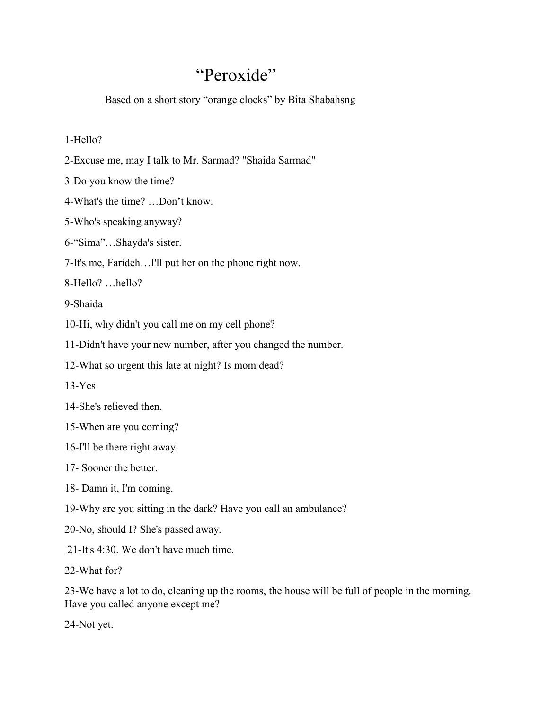## "Peroxide"

Based on a short story "orange clocks" by Bita Shabahsng

## 1-Hello?

- 2-Excuse me, may I talk to Mr. Sarmad? "Shaida Sarmad"
- 3-Do you know the time?
- 4-What's the time? …Don't know.
- 5-Who's speaking anyway?
- 6-"Sima"…Shayda's sister.
- 7-It's me, Farideh…I'll put her on the phone right now.
- 8-Hello? …hello?
- 9-Shaida
- 10-Hi, why didn't you call me on my cell phone?
- 11-Didn't have your new number, after you changed the number.
- 12-What so urgent this late at night? Is mom dead?
- $13-Yes$
- 14-She's relieved then.
- 15-When are you coming?
- 16-I'll be there right away.
- 17- Sooner the better.
- 18- Damn it, I'm coming.
- 19-Why are you sitting in the dark? Have you call an ambulance?
- 20-No, should I? She's passed away.
- 21-It's 4:30. We don't have much time.
- 22-What for?
- 23-We have a lot to do, cleaning up the rooms, the house will be full of people in the morning. Have you called anyone except me?
- 24-Not yet.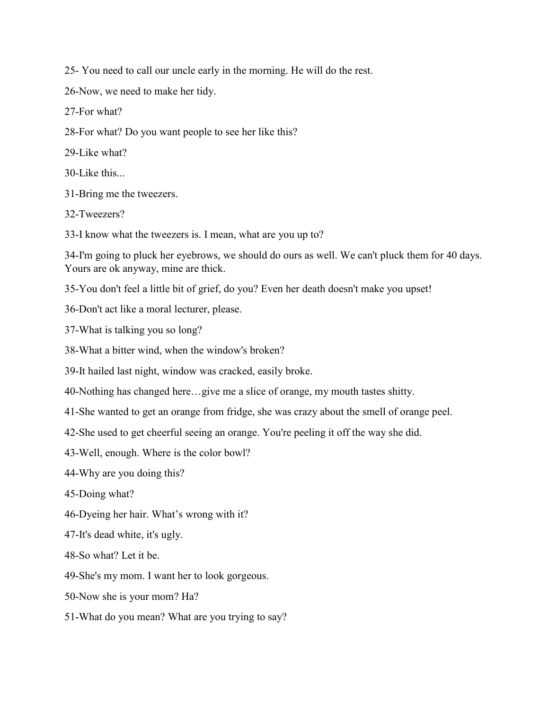25- You need to call our uncle early in the morning. He will do the rest.

26-Now, we need to make her tidy.

27-For what?

28-For what? Do you want people to see her like this?

29-Like what?

30-Like this.

31-Bring me the tweezers.

32-Tweezers?

33-I know what the tweezers is. I mean, what are you up to?

34-I'm going to pluck her eyebrows, we should do ours as well. We can't pluck them for 40 days. Yours are ok anyway, mine are thick.

35-You don't feel a little bit of grief, do you? Even her death doesn't make you upset!

36-Don't act like a moral lecturer, please.

37-What is talking you so long?

38-What a bitter wind, when the window's broken?

39-It hailed last night, window was cracked, easily broke.

40-Nothing has changed here…give me a slice of orange, my mouth tastes shitty.

41-She wanted to get an orange from fridge, she was crazy about the smell of orange peel.

42-She used to get cheerful seeing an orange. You're peeling it off the way she did.

43-Well, enough. Where is the color bowl?

44-Why are you doing this?

45-Doing what?

46-Dyeing her hair. What's wrong with it?

47-It's dead white, it's ugly.

48-So what? Let it be.

49-She's my mom. I want her to look gorgeous.

50-Now she is your mom? Ha?

51-What do you mean? What are you trying to say?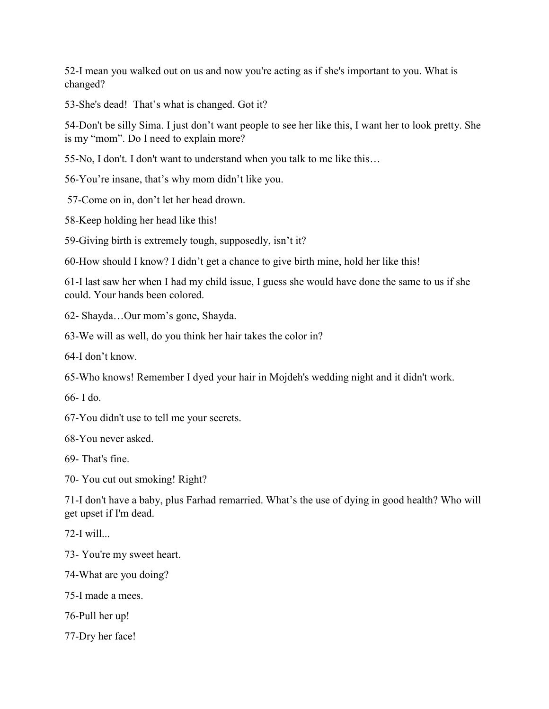52-I mean you walked out on us and now you're acting as if she's important to you. What is changed?

53-She's dead! That's what is changed. Got it?

54-Don't be silly Sima. I just don't want people to see her like this, I want her to look pretty. She is my "mom". Do I need to explain more?

55-No, I don't. I don't want to understand when you talk to me like this…

56-You're insane, that's why mom didn't like you.

57-Come on in, don't let her head drown.

58-Keep holding her head like this!

59-Giving birth is extremely tough, supposedly, isn't it?

60-How should I know? I didn't get a chance to give birth mine, hold her like this!

61-I last saw her when I had my child issue, I guess she would have done the same to us if she could. Your hands been colored.

62- Shayda…Our mom's gone, Shayda.

63-We will as well, do you think her hair takes the color in?

64-I don't know.

65-Who knows! Remember I dyed your hair in Mojdeh's wedding night and it didn't work.

66- I do.

67-You didn't use to tell me your secrets.

68-You never asked.

69- That's fine.

70- You cut out smoking! Right?

71-I don't have a baby, plus Farhad remarried. What's the use of dying in good health? Who will get upset if I'm dead.

 $72-I$  will...

73- You're my sweet heart.

74-What are you doing?

75-I made a mees.

76-Pull her up!

77-Dry her face!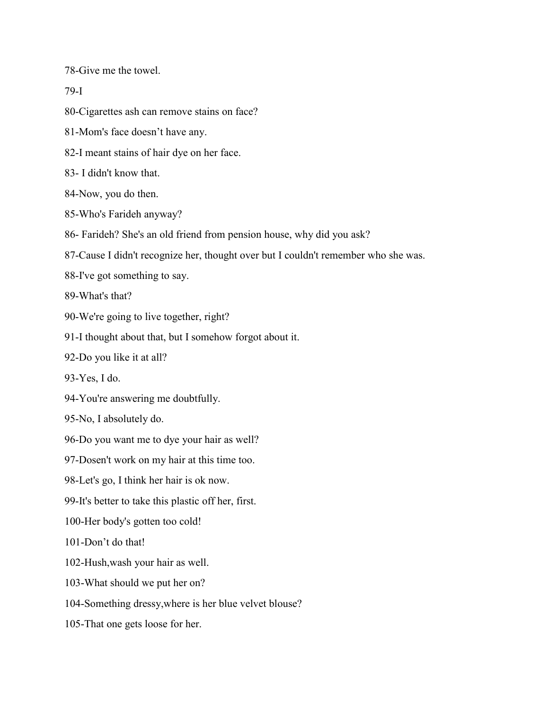78-Give me the towel.

## 79-I

80-Cigarettes ash can remove stains on face?

81-Mom's face doesn't have any.

82-I meant stains of hair dye on her face.

83- I didn't know that.

84-Now, you do then.

85-Who's Farideh anyway?

86- Farideh? She's an old friend from pension house, why did you ask?

87-Cause I didn't recognize her, thought over but I couldn't remember who she was.

88-I've got something to say.

89-What's that?

90-We're going to live together, right?

91-I thought about that, but I somehow forgot about it.

92-Do you like it at all?

93-Yes, I do.

94-You're answering me doubtfully.

95-No, I absolutely do.

96-Do you want me to dye your hair as well?

97-Dosen't work on my hair at this time too.

98-Let's go, I think her hair is ok now.

99-It's better to take this plastic off her, first.

100-Her body's gotten too cold!

101-Don't do that!

102-Hush,wash your hair as well.

103-What should we put her on?

104-Something dressy,where is her blue velvet blouse?

105-That one gets loose for her.